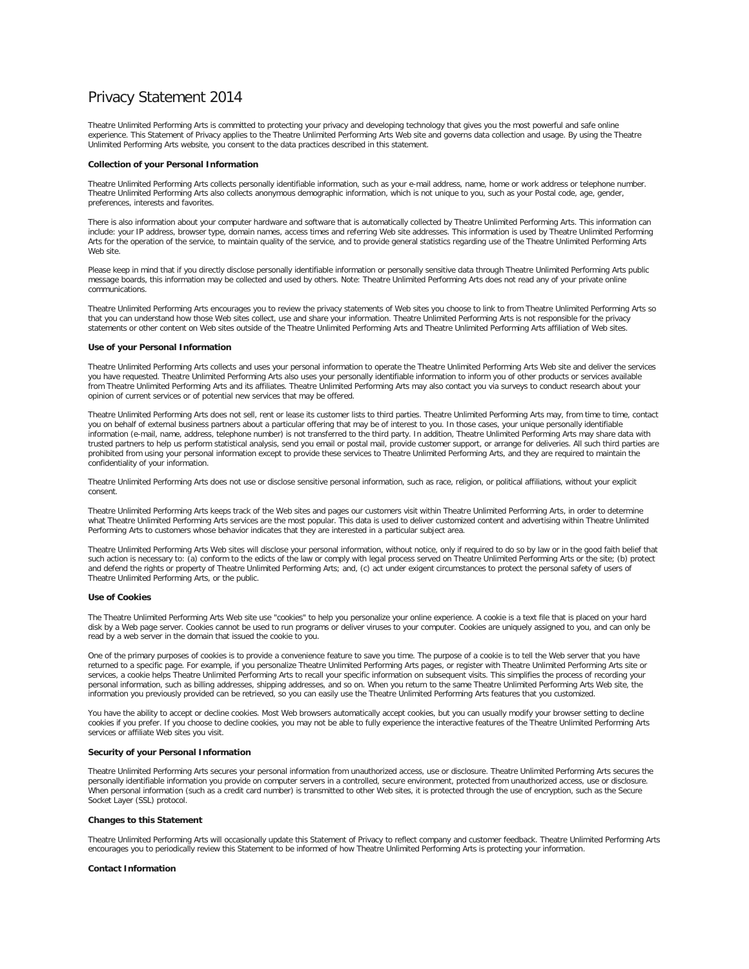# Privacy Statement 2014

Theatre Unlimited Performing Arts is committed to protecting your privacy and developing technology that gives you the most powerful and safe online experience. This Statement of Privacy applies to the Theatre Unlimited Performing Arts Web site and governs data collection and usage. By using the Theatre Unlimited Performing Arts website, you consent to the data practices described in this statement.

### **Collection of your Personal Information**

Theatre Unlimited Performing Arts collects personally identifiable information, such as your e-mail address, name, home or work address or telephone number. Theatre Unlimited Performing Arts also collects anonymous demographic information, which is not unique to you, such as your Postal code, age, gender, preferences, interests and favorites.

There is also information about your computer hardware and software that is automatically collected by Theatre Unlimited Performing Arts. This information can include: your IP address, browser type, domain names, access times and referring Web site addresses. This information is used by Theatre Unlimited Performing Arts for the operation of the service, to maintain quality of the service, and to provide general statistics regarding use of the Theatre Unlimited Performing Arts Web site.

Please keep in mind that if you directly disclose personally identifiable information or personally sensitive data through Theatre Unlimited Performing Arts public message boards, this information may be collected and used by others. Note: Theatre Unlimited Performing Arts does not read any of your private online communications.

Theatre Unlimited Performing Arts encourages you to review the privacy statements of Web sites you choose to link to from Theatre Unlimited Performing Arts so that you can understand how those Web sites collect, use and share your information. Theatre Unlimited Performing Arts is not responsible for the privacy<br>statements or other content on Web sites outside of the Theatre Unli

#### **Use of your Personal Information**

Theatre Unlimited Performing Arts collects and uses your personal information to operate the Theatre Unlimited Performing Arts Web site and deliver the services you have requested. Theatre Unlimited Performing Arts also uses your personally identifiable information to inform you of other products or services available from Theatre Unlimited Performing Arts and its affiliates. Theatre Unlimited Performing Arts may also contact you via surveys to conduct research about your opinion of current services or of potential new services that may be offered.

Theatre Unlimited Performing Arts does not sell, rent or lease its customer lists to third parties. Theatre Unlimited Performing Arts may, from time to time, contact you on behalf of external business partners about a particular offering that may be of interest to you. In those cases, your unique personally identifiable<br>information (e-mail, name, address, telephone number) is not trans prohibited from using your personal information except to provide these services to Theatre Unlimited Performing Arts, and they are required to maintain the confidentiality of your information.

Theatre Unlimited Performing Arts does not use or disclose sensitive personal information, such as race, religion, or political affiliations, without your explicit consent.

Theatre Unlimited Performing Arts keeps track of the Web sites and pages our customers visit within Theatre Unlimited Performing Arts, in order to determine what Theatre Unlimited Performing Arts services are the most popular. This data is used to deliver customized content and advertising within Theatre Unlimited Performing Arts to customers whose behavior indicates that they are interested in a particular subject area.

Theatre Unlimited Performing Arts Web sites will disclose your personal information, without notice, only if required to do so by law or in the good faith belief that such action is necessary to: (a) conform to the edicts of the law or comply with legal process served on Theatre Unlimited Performing Arts or the site; (b) protect and defend the rights or property of Theatre Unlimited Performing Arts; and, (c) act under exigent circumstances to protect the personal safety of users of Theatre Unlimited Performing Arts, or the public.

### **Use of Cookies**

The Theatre Unlimited Performing Arts Web site use "cookies" to help you personalize your online experience. A cookie is a text file that is placed on your hard disk by a Web page server. Cookies cannot be used to run programs or deliver viruses to your computer. Cookies are uniquely assigned to you, and can only be read by a web server in the domain that issued the cookie to you.

One of the primary purposes of cookies is to provide a convenience feature to save you time. The purpose of a cookie is to tell the Web server that you have returned to a specific page. For example, if you personalize Theatre Unlimited Performing Arts pages, or register with Theatre Unlimited Performing Arts site or services, a cookie helps Theatre Unlimited Performing Arts to recall your specific information on subsequent visits. This simplifies the process of recording your personal information, such as billing addresses, shipping addresses, and so on. When you return to the same Theatre Unlimited Performing Arts Web site, the information you previously provided can be retrieved, so you can easily use the Theatre Unlimited Performing Arts features that you customized.

You have the ability to accept or decline cookies. Most Web browsers automatically accept cookies, but you can usually modify your browser setting to decline cookies if you prefer. If you choose to decline cookies, you may not be able to fully experience the interactive features of the Theatre Unlimited Performing Arts services or affiliate Web sites you visit.

# **Security of your Personal Information**

Theatre Unlimited Performing Arts secures your personal information from unauthorized access, use or disclosure. Theatre Unlimited Performing Arts secures the personally identifiable information you provide on computer servers in a controlled, secure environment, protected from unauthorized access, use or disclosure. When personal information (such as a credit card number) is transmitted to other Web sites, it is protected through the use of encryption, such as the Secure Socket Layer (SSL) protocol.

#### **Changes to this Statement**

Theatre Unlimited Performing Arts will occasionally update this Statement of Privacy to reflect company and customer feedback. Theatre Unlimited Performing Arts encourages you to periodically review this Statement to be informed of how Theatre Unlimited Performing Arts is protecting your information.

## **Contact Information**